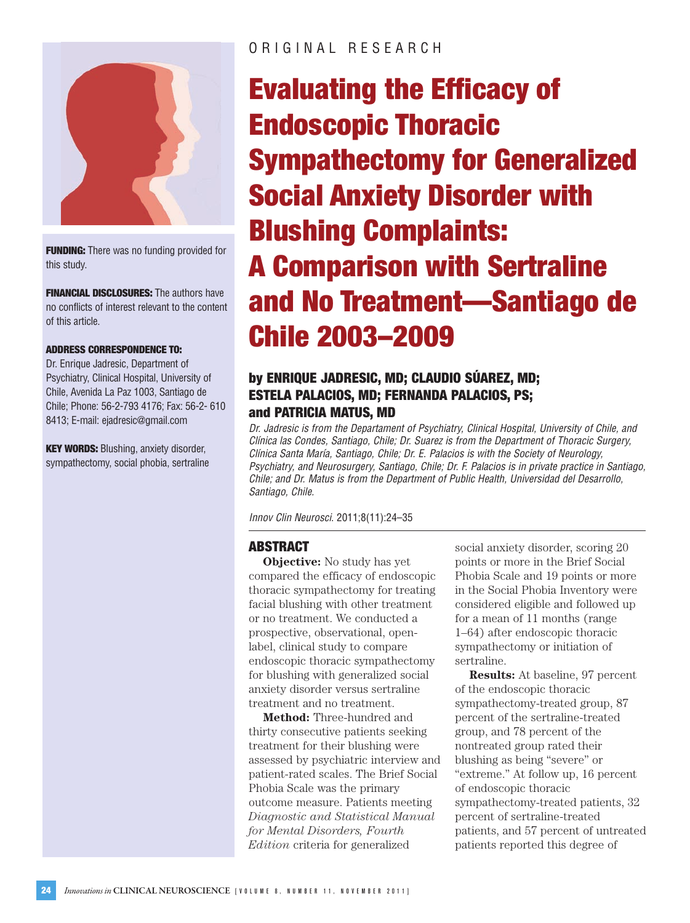

**FUNDING:** There was no funding provided for this study.

**FINANCIAL DISCLOSURES:** The authors have no conflicts of interest relevant to the content of this article.

#### **ADDRESS CORRESPONDENCE TO:**

Dr. Enrique Jadresic, Department of Psychiatry, Clinical Hospital, University of Chile, Avenida La Paz 1003, Santiago de Chile; Phone: 56-2-793 4176; Fax: 56-2- 610 8413; E-mail: ejadresic@gmail.com

**KEY WORDS:** Blushing, anxiety disorder, sympathectomy, social phobia, sertraline

# ORIGINAL RESEARCH

# **Evaluating the Efficacy of Endoscopic Thoracic Sympathectomy for Generalized Social Anxiety Disorder with Blushing Complaints: A Comparison with Sertraline and No Treatment—Santiago de Chile 2003–2009**

# **by ENRIQUE JADRESIC, MD; CLAUDIO SÚAREZ, MD; ESTELA PALACIOS, MD; FERNANDA PALACIOS, PS; and PATRICIA MATUS, MD**

*Dr. Jadresic is from the Departament of Psychiatry, Clinical Hospital, University of Chile, and Clínica las Condes, Santiago, Chile; Dr. Suarez is from the Department of Thoracic Surgery, Clínica Santa María, Santiago, Chile; Dr. E. Palacios is with the Society of Neurology, Psychiatry, and Neurosurgery, Santiago, Chile; Dr. F. Palacios is in private practice in Santiago, Chile; and Dr. Matus is from the Department of Public Health, Universidad del Desarrollo, Santiago, Chile.*

*Innov Clin Neurosci*. 2011;8(11):24–35

# **ABSTRACT**

**Objective:** No study has yet compared the efficacy of endoscopic thoracic sympathectomy for treating facial blushing with other treatment or no treatment. We conducted a prospective, observational, openlabel, clinical study to compare endoscopic thoracic sympathectomy for blushing with generalized social anxiety disorder versus sertraline treatment and no treatment.

**Method:** Three-hundred and thirty consecutive patients seeking treatment for their blushing were assessed by psychiatric interview and patient-rated scales. The Brief Social Phobia Scale was the primary outcome measure. Patients meeting *Diagnostic and Statistical Manual for Mental Disorders, Fourth Edition* criteria for generalized

social anxiety disorder, scoring 20 points or more in the Brief Social Phobia Scale and 19 points or more in the Social Phobia Inventory were considered eligible and followed up for a mean of 11 months (range 1–64) after endoscopic thoracic sympathectomy or initiation of sertraline.

**Results:** At baseline, 97 percent of the endoscopic thoracic sympathectomy-treated group, 87 percent of the sertraline-treated group, and 78 percent of the nontreated group rated their blushing as being "severe" or "extreme." At follow up, 16 percent of endoscopic thoracic sympathectomy-treated patients, 32 percent of sertraline-treated patients, and 57 percent of untreated patients reported this degree of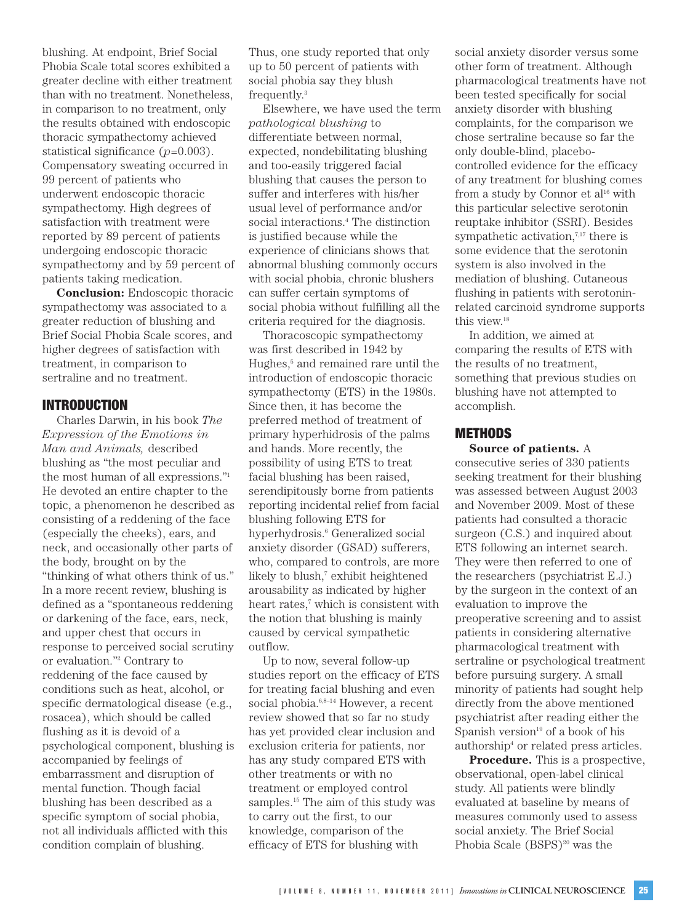blushing. At endpoint, Brief Social Phobia Scale total scores exhibited a greater decline with either treatment than with no treatment. Nonetheless, in comparison to no treatment, only the results obtained with endoscopic thoracic sympathectomy achieved statistical significance (*p*=0.003). Compensatory sweating occurred in 99 percent of patients who underwent endoscopic thoracic sympathectomy. High degrees of satisfaction with treatment were reported by 89 percent of patients undergoing endoscopic thoracic sympathectomy and by 59 percent of patients taking medication.

**Conclusion:** Endoscopic thoracic sympathectomy was associated to a greater reduction of blushing and Brief Social Phobia Scale scores, and higher degrees of satisfaction with treatment, in comparison to sertraline and no treatment.

## **INTRODUCTION**

Charles Darwin, in his book *The Expression of the Emotions in Man and Animals,* described blushing as "the most peculiar and the most human of all expressions."1 He devoted an entire chapter to the topic, a phenomenon he described as consisting of a reddening of the face (especially the cheeks), ears, and neck, and occasionally other parts of the body, brought on by the "thinking of what others think of us." In a more recent review, blushing is defined as a "spontaneous reddening or darkening of the face, ears, neck, and upper chest that occurs in response to perceived social scrutiny or evaluation."2 Contrary to reddening of the face caused by conditions such as heat, alcohol, or specific dermatological disease (e.g., rosacea), which should be called flushing as it is devoid of a psychological component, blushing is accompanied by feelings of embarrassment and disruption of mental function. Though facial blushing has been described as a specific symptom of social phobia, not all individuals afflicted with this condition complain of blushing.

Thus, one study reported that only up to 50 percent of patients with social phobia say they blush frequently.3

Elsewhere, we have used the term *pathological blushing* to differentiate between normal, expected, nondebilitating blushing and too-easily triggered facial blushing that causes the person to suffer and interferes with his/her usual level of performance and/or social interactions.<sup>4</sup> The distinction is justified because while the experience of clinicians shows that abnormal blushing commonly occurs with social phobia, chronic blushers can suffer certain symptoms of social phobia without fulfilling all the criteria required for the diagnosis.

Thoracoscopic sympathectomy was first described in 1942 by Hughes,<sup>5</sup> and remained rare until the introduction of endoscopic thoracic sympathectomy (ETS) in the 1980s. Since then, it has become the preferred method of treatment of primary hyperhidrosis of the palms and hands. More recently, the possibility of using ETS to treat facial blushing has been raised, serendipitously borne from patients reporting incidental relief from facial blushing following ETS for hyperhydrosis.<sup>6</sup> Generalized social anxiety disorder (GSAD) sufferers, who, compared to controls, are more likely to blush,<sup>7</sup> exhibit heightened arousability as indicated by higher heart rates,<sup>7</sup> which is consistent with the notion that blushing is mainly caused by cervical sympathetic outflow.

Up to now, several follow-up studies report on the efficacy of ETS for treating facial blushing and even social phobia.<sup>6,8-14</sup> However, a recent review showed that so far no study has yet provided clear inclusion and exclusion criteria for patients, nor has any study compared ETS with other treatments or with no treatment or employed control samples.<sup>15</sup> The aim of this study was to carry out the first, to our knowledge, comparison of the efficacy of ETS for blushing with

social anxiety disorder versus some other form of treatment. Although pharmacological treatments have not been tested specifically for social anxiety disorder with blushing complaints, for the comparison we chose sertraline because so far the only double-blind, placebocontrolled evidence for the efficacy of any treatment for blushing comes from a study by Connor et al<sup>16</sup> with this particular selective serotonin reuptake inhibitor (SSRI). Besides sympathetic activation, $7,17$  there is some evidence that the serotonin system is also involved in the mediation of blushing. Cutaneous flushing in patients with serotoninrelated carcinoid syndrome supports this view.<sup>18</sup>

In addition, we aimed at comparing the results of ETS with the results of no treatment, something that previous studies on blushing have not attempted to accomplish.

## **METHODS**

**Source of patients.** A consecutive series of 330 patients seeking treatment for their blushing was assessed between August 2003 and November 2009. Most of these patients had consulted a thoracic surgeon (C.S.) and inquired about ETS following an internet search. They were then referred to one of the researchers (psychiatrist E.J.) by the surgeon in the context of an evaluation to improve the preoperative screening and to assist patients in considering alternative pharmacological treatment with sertraline or psychological treatment before pursuing surgery. A small minority of patients had sought help directly from the above mentioned psychiatrist after reading either the Spanish version $19$  of a book of his authorship4 or related press articles.

**Procedure.** This is a prospective, observational, open-label clinical study. All patients were blindly evaluated at baseline by means of measures commonly used to assess social anxiety. The Brief Social Phobia Scale (BSPS)<sup>20</sup> was the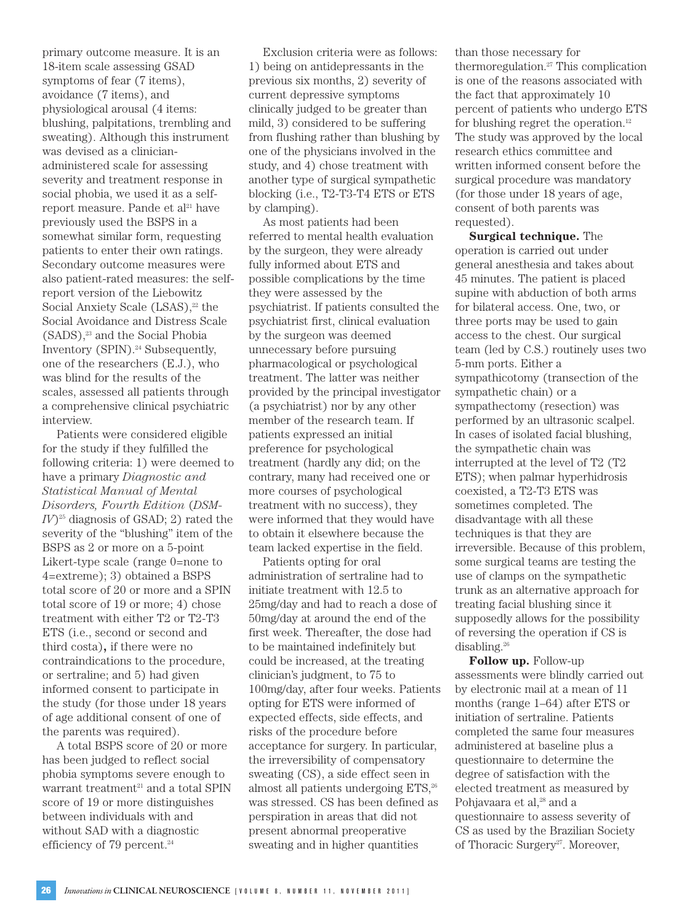primary outcome measure. It is an 18-item scale assessing GSAD symptoms of fear (7 items), avoidance (7 items), and physiological arousal (4 items: blushing, palpitations, trembling and sweating). Although this instrument was devised as a clinicianadministered scale for assessing severity and treatment response in social phobia, we used it as a selfreport measure. Pande et al<sup>21</sup> have previously used the BSPS in a somewhat similar form, requesting patients to enter their own ratings. Secondary outcome measures were also patient-rated measures: the selfreport version of the Liebowitz Social Anxiety Scale  $(LSAS)$ ,<sup>22</sup> the Social Avoidance and Distress Scale  $(SADS),<sup>23</sup>$  and the Social Phobia Inventory (SPIN).<sup>24</sup> Subsequently, one of the researchers (E.J.), who was blind for the results of the scales, assessed all patients through a comprehensive clinical psychiatric interview.

Patients were considered eligible for the study if they fulfilled the following criteria: 1) were deemed to have a primary *Diagnostic and Statistical Manual of Mental Disorders, Fourth Edition* (*DSM-<sup>25</sup> diagnosis of GSAD; 2) rated the* severity of the "blushing" item of the BSPS as 2 or more on a 5-point Likert-type scale (range 0=none to 4=extreme); 3) obtained a BSPS total score of 20 or more and a SPIN total score of 19 or more; 4) chose treatment with either T2 or T2-T3 ETS (i.e., second or second and third costa)**,** if there were no contraindications to the procedure, or sertraline; and 5) had given informed consent to participate in the study (for those under 18 years of age additional consent of one of the parents was required).

A total BSPS score of 20 or more has been judged to reflect social phobia symptoms severe enough to warrant treatment<sup>21</sup> and a total SPIN score of 19 or more distinguishes

Exclusion criteria were as follows: 1) being on antidepressants in the previous six months, 2) severity of current depressive symptoms clinically judged to be greater than mild, 3) considered to be suffering from flushing rather than blushing by one of the physicians involved in the study, and 4) chose treatment with another type of surgical sympathetic blocking (i.e., T2-T3-T4 ETS or ETS by clamping).

As most patients had been referred to mental health evaluation by the surgeon, they were already fully informed about ETS and possible complications by the time they were assessed by the psychiatrist. If patients consulted the psychiatrist first, clinical evaluation by the surgeon was deemed unnecessary before pursuing pharmacological or psychological treatment. The latter was neither provided by the principal investigator (a psychiatrist) nor by any other member of the research team. If patients expressed an initial preference for psychological treatment (hardly any did; on the contrary, many had received one or more courses of psychological treatment with no success), they were informed that they would have to obtain it elsewhere because the team lacked expertise in the field.

Patients opting for oral administration of sertraline had to initiate treatment with 12.5 to 25mg/day and had to reach a dose of 50mg/day at around the end of the first week. Thereafter, the dose had to be maintained indefinitely but could be increased, at the treating clinician's judgment, to 75 to 100mg/day, after four weeks. Patients opting for ETS were informed of expected effects, side effects, and risks of the procedure before acceptance for surgery. In particular, the irreversibility of compensatory sweating (CS), a side effect seen in almost all patients undergoing ETS,<sup>26</sup> was stressed. CS has been defined as perspiration in areas that did not present abnormal preoperative

than those necessary for thermoregulation. $27$  This complication is one of the reasons associated with the fact that approximately 10 percent of patients who undergo ETS for blushing regret the operation.<sup>12</sup> The study was approved by the local research ethics committee and written informed consent before the surgical procedure was mandatory (for those under 18 years of age, consent of both parents was requested).

**Surgical technique.** The operation is carried out under general anesthesia and takes about 45 minutes. The patient is placed supine with abduction of both arms for bilateral access. One, two, or three ports may be used to gain access to the chest. Our surgical team (led by C.S.) routinely uses two 5-mm ports. Either a sympathicotomy (transection of the sympathetic chain) or a sympathectomy (resection) was performed by an ultrasonic scalpel. In cases of isolated facial blushing, the sympathetic chain was interrupted at the level of T2 (T2 ETS); when palmar hyperhidrosis coexisted, a T2-T3 ETS was sometimes completed. The disadvantage with all these techniques is that they are irreversible. Because of this problem, some surgical teams are testing the use of clamps on the sympathetic trunk as an alternative approach for treating facial blushing since it supposedly allows for the possibility of reversing the operation if CS is disabling.26

**Follow up.** Follow-up assessments were blindly carried out by electronic mail at a mean of 11 months (range 1–64) after ETS or initiation of sertraline. Patients completed the same four measures administered at baseline plus a questionnaire to determine the degree of satisfaction with the elected treatment as measured by Pohjavaara et al,<sup>28</sup> and a questionnaire to assess severity of CS as used by the Brazilian Society of Thoracic Surgery<sup>27</sup>. Moreover,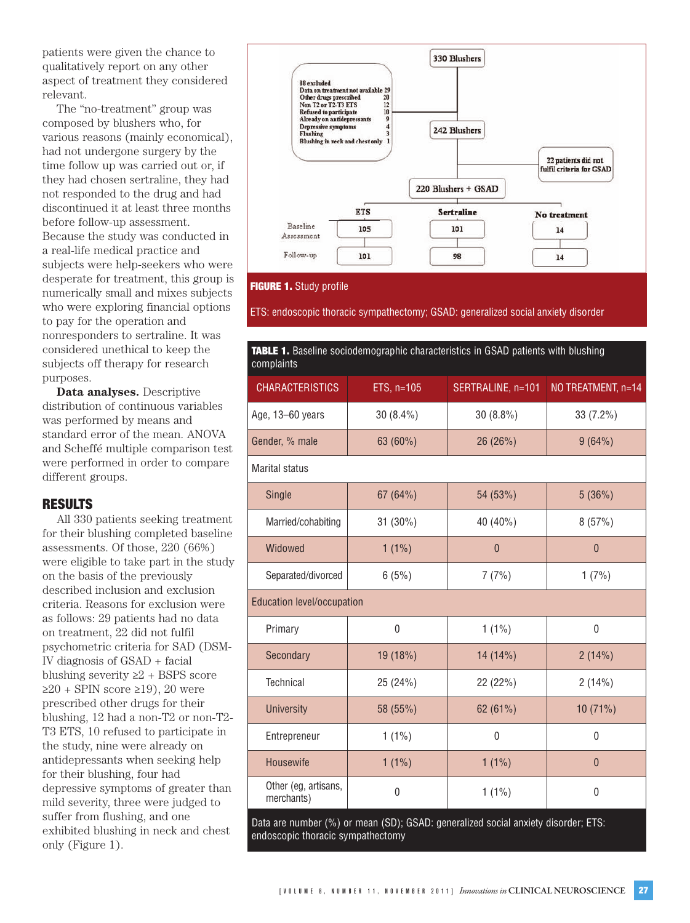patients were given the chance to qualitatively report on any other aspect of treatment they considered relevant.

The "no-treatment" group was composed by blushers who, for various reasons (mainly economical), had not undergone surgery by the time follow up was carried out or, if they had chosen sertraline, they had not responded to the drug and had discontinued it at least three months before follow-up assessment. Because the study was conducted in a real-life medical practice and subjects were help-seekers who were desperate for treatment, this group is numerically small and mixes subjects who were exploring financial options to pay for the operation and nonresponders to sertraline. It was considered unethical to keep the subjects off therapy for research purposes.

**Data analyses.** Descriptive distribution of continuous variables was performed by means and standard error of the mean. ANOVA and Scheffé multiple comparison test were performed in order to compare different groups.

# **RESULTS**

All 330 patients seeking treatment for their blushing completed baseline assessments. Of those, 220 (66%) were eligible to take part in the study on the basis of the previously described inclusion and exclusion criteria. Reasons for exclusion were as follows: 29 patients had no data on treatment, 22 did not fulfil psychometric criteria for SAD (DSM-IV diagnosis of GSAD + facial blushing severity  $\geq 2$  + BSPS score  $≥20 + SPIN$  score  $≥19$ ), 20 were prescribed other drugs for their blushing, 12 had a non-T2 or non-T2- T3 ETS, 10 refused to participate in the study, nine were already on antidepressants when seeking help for their blushing, four had depressive symptoms of greater than mild severity, three were judged to suffer from flushing, and one exhibited blushing in neck and chest only (Figure 1).



#### **FIGURE 1.** Study profile

ETS: endoscopic thoracic sympathectomy; GSAD: generalized social anxiety disorder

| TABLE 1. Baseline sociodemographic characteristics in GSAD patients with blushing<br>complaints |            |                   |                    |  |  |
|-------------------------------------------------------------------------------------------------|------------|-------------------|--------------------|--|--|
| <b>CHARACTERISTICS</b>                                                                          | ETS, n=105 | SERTRALINE, n=101 | NO TREATMENT, n=14 |  |  |
| Age, 13-60 years                                                                                | 30 (8.4%)  | $30(8.8\%)$       | 33 (7.2%)          |  |  |
| Gender, % male                                                                                  | 63 (60%)   | 26 (26%)          | 9(64%)             |  |  |
| <b>Marital status</b>                                                                           |            |                   |                    |  |  |
| Single                                                                                          | 67(64%)    | 54 (53%)          | 5(36%)             |  |  |
| Married/cohabiting                                                                              | 31 (30%)   | 40 (40%)          | 8(57%)             |  |  |
| Widowed                                                                                         | $1(1\%)$   | $\theta$          | $\theta$           |  |  |
| Separated/divorced                                                                              | 6(5%)      | 7(7%)             | 1(7%)              |  |  |
| <b>Education level/occupation</b>                                                               |            |                   |                    |  |  |
| Primary                                                                                         | 0          | $1(1\%)$          | $\mathbf{0}$       |  |  |
| Secondary                                                                                       | 19 (18%)   | 14 (14%)          | 2(14%)             |  |  |
| Technical                                                                                       | 25 (24%)   | 22 (22%)          | 2(14%)             |  |  |
| <b>University</b>                                                                               | 58 (55%)   | 62 (61%)          | 10 (71%)           |  |  |
| Entrepreneur                                                                                    | $1(1\%)$   | $\mathbf{0}$      | $\mathbf{0}$       |  |  |
| Housewife                                                                                       | $1(1\%)$   | $1(1\%)$          | $\theta$           |  |  |
| Other (eg, artisans,<br>merchants)                                                              | 0          | $1(1\%)$          | $\mathbf{0}$       |  |  |

Data are number (%) or mean (SD); GSAD: generalized social anxiety disorder; ETS: endoscopic thoracic sympathectomy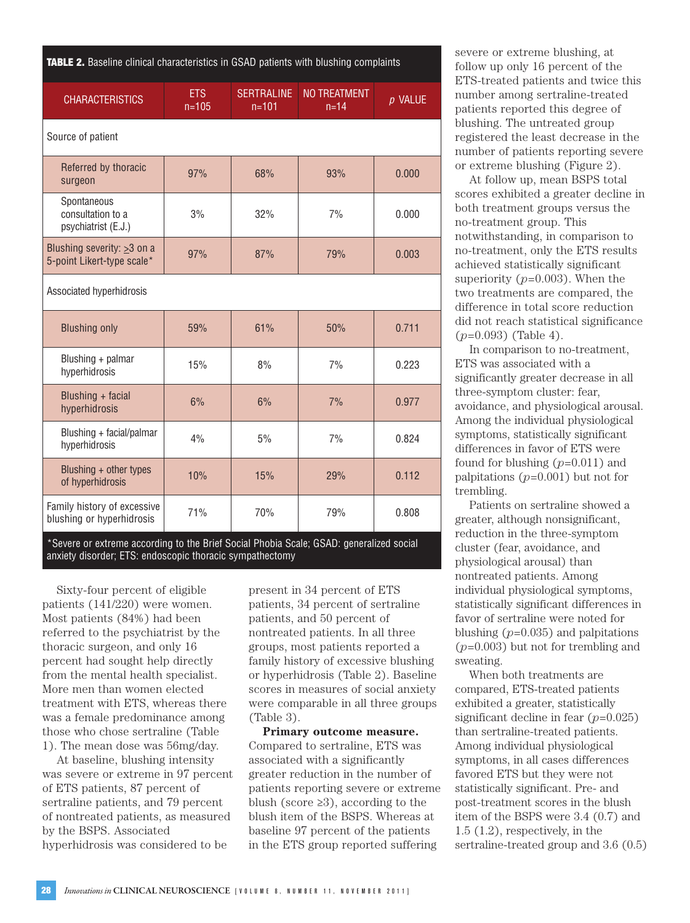| <b>TABLE 2.</b> Baseline clinical characteristics in GSAD patients with blushing complaints |  |  |  |  |  |
|---------------------------------------------------------------------------------------------|--|--|--|--|--|
|---------------------------------------------------------------------------------------------|--|--|--|--|--|

| <b>CHARACTERISTICS</b>                                               | <b>ETS</b><br>$n = 105$ | <b>SERTRALINE</b><br>$n = 101$ | <b>NO TREATMENT</b><br>$n = 14$ | $p$ VALUE |  |  |
|----------------------------------------------------------------------|-------------------------|--------------------------------|---------------------------------|-----------|--|--|
| Source of patient                                                    |                         |                                |                                 |           |  |  |
| Referred by thoracic<br>surgeon                                      | 97%                     | 68%                            | 93%                             | 0.000     |  |  |
| Spontaneous<br>consultation to a<br>psychiatrist (E.J.)              | 3%                      | 32%                            | 7%                              | 0.000     |  |  |
| Blushing severity: $\geq$ 3 on a<br>5-point Likert-type scale*       | 97%                     | 87%                            | 79%                             | 0.003     |  |  |
| Associated hyperhidrosis                                             |                         |                                |                                 |           |  |  |
| <b>Blushing only</b>                                                 | 59%                     | 61%                            | 50%                             | 0.711     |  |  |
| Blushing + palmar<br>hyperhidrosis                                   | 15%                     | 8%                             | 7%                              | 0.223     |  |  |
| Blushing + facial<br>hyperhidrosis                                   | 6%                      | 6%                             | 7%                              | 0.977     |  |  |
| Blushing + facial/palmar<br>hyperhidrosis                            | 4%                      | 5%                             | 7%                              | 0.824     |  |  |
| Blushing + other types<br>of hyperhidrosis                           | 10%                     | 15%                            | 29%                             | 0.112     |  |  |
| Family history of excessive<br>blushing or hyperhidrosis<br>$\cdots$ | 71%                     | 70%                            | 79%                             | 0.808     |  |  |

Severe or extreme according to the Brief Social Phobia Scale; GSAD: generalized social anxiety disorder; ETS: endoscopic thoracic sympathectomy

Sixty-four percent of eligible patients (141/220) were women. Most patients (84%) had been referred to the psychiatrist by the thoracic surgeon, and only 16 percent had sought help directly from the mental health specialist. More men than women elected treatment with ETS, whereas there was a female predominance among those who chose sertraline (Table 1). The mean dose was 56mg/day.

At baseline, blushing intensity was severe or extreme in 97 percent of ETS patients, 87 percent of sertraline patients, and 79 percent of nontreated patients, as measured by the BSPS. Associated hyperhidrosis was considered to be

present in 34 percent of ETS patients, 34 percent of sertraline patients, and 50 percent of nontreated patients. In all three groups, most patients reported a family history of excessive blushing or hyperhidrosis (Table 2). Baseline scores in measures of social anxiety were comparable in all three groups (Table 3).

**Primary outcome measure.** Compared to sertraline, ETS was associated with a significantly greater reduction in the number of patients reporting severe or extreme blush (score ≥3), according to the blush item of the BSPS. Whereas at baseline 97 percent of the patients in the ETS group reported suffering

severe or extreme blushing, at follow up only 16 percent of the ETS-treated patients and twice this number among sertraline-treated patients reported this degree of blushing. The untreated group registered the least decrease in the number of patients reporting severe or extreme blushing (Figure 2).

At follow up, mean BSPS total scores exhibited a greater decline in both treatment groups versus the no-treatment group. This notwithstanding, in comparison to no-treatment, only the ETS results achieved statistically significant superiority (*p*=0.003). When the two treatments are compared, the difference in total score reduction did not reach statistical significance (*p*=0.093) (Table 4).

In comparison to no-treatment, ETS was associated with a significantly greater decrease in all three-symptom cluster: fear, avoidance, and physiological arousal. Among the individual physiological symptoms, statistically significant differences in favor of ETS were found for blushing (*p*=0.011) and palpitations (*p*=0.001) but not for trembling.

Patients on sertraline showed a greater, although nonsignificant, reduction in the three-symptom cluster (fear, avoidance, and physiological arousal) than nontreated patients. Among individual physiological symptoms, statistically significant differences in favor of sertraline were noted for blushing (*p*=0.035) and palpitations (*p*=0.003) but not for trembling and sweating.

When both treatments are compared, ETS-treated patients exhibited a greater, statistically significant decline in fear (*p*=0.025) than sertraline-treated patients. Among individual physiological symptoms, in all cases differences favored ETS but they were not statistically significant. Pre- and post-treatment scores in the blush item of the BSPS were 3.4 (0.7) and 1.5 (1.2), respectively, in the sertraline-treated group and 3.6 (0.5)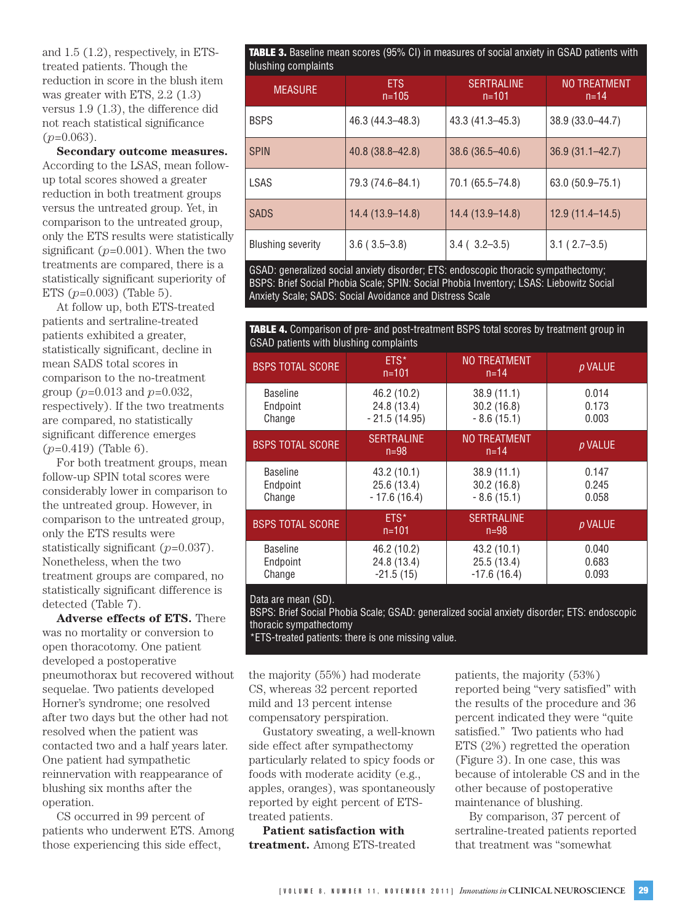and 1.5 (1.2), respectively, in ETStreated patients. Though the reduction in score in the blush item was greater with ETS, 2.2 (1.3) versus 1.9 (1.3), the difference did not reach statistical significance  $(p=0.063)$ .

**Secondary outcome measures.** According to the LSAS, mean followup total scores showed a greater reduction in both treatment groups versus the untreated group. Yet, in comparison to the untreated group, only the ETS results were statistically significant  $(p=0.001)$ . When the two treatments are compared, there is a statistically significant superiority of ETS (*p*=0.003) (Table 5).

At follow up, both ETS-treated patients and sertraline-treated patients exhibited a greater, statistically significant, decline in mean SADS total scores in comparison to the no-treatment group (*p*=0.013 and *p*=0.032, respectively). If the two treatments are compared, no statistically significant difference emerges (*p*=0.419) (Table 6).

For both treatment groups, mean follow-up SPIN total scores were considerably lower in comparison to the untreated group. However, in comparison to the untreated group, only the ETS results were statistically significant (*p*=0.037). Nonetheless, when the two treatment groups are compared, no statistically significant difference is detected (Table 7).

**Adverse effects of ETS.** There was no mortality or conversion to open thoracotomy. One patient developed a postoperative pneumothorax but recovered without sequelae. Two patients developed Horner's syndrome; one resolved after two days but the other had not resolved when the patient was contacted two and a half years later. One patient had sympathetic reinnervation with reappearance of blushing six months after the operation.

CS occurred in 99 percent of patients who underwent ETS. Among those experiencing this side effect,

**TABLE 3.** Baseline mean scores (95% CI) in measures of social anxiety in GSAD patients with blushing complaints

| 5.801111990111100111100  |                         |                                |                          |  |  |
|--------------------------|-------------------------|--------------------------------|--------------------------|--|--|
| <b>MEASURE</b>           | <b>ETS</b><br>$n = 105$ | <b>SERTRALINE</b><br>$n = 101$ | NO TREATMENT<br>$n = 14$ |  |  |
| <b>BSPS</b>              | 46.3 (44.3–48.3)        | $43.3(41.3 - 45.3)$            | 38.9 (33.0-44.7)         |  |  |
| <b>SPIN</b>              | $40.8(38.8 - 42.8)$     | $38.6(36.5 - 40.6)$            | $36.9(31.1 - 42.7)$      |  |  |
| LSAS                     | 79.3 (74.6-84.1)        | 70.1 (65.5–74.8)               | 63.0 (50.9-75.1)         |  |  |
| <b>SADS</b>              | $14.4(13.9-14.8)$       | $14.4(13.9-14.8)$              | $12.9(11.4 - 14.5)$      |  |  |
| <b>Blushing severity</b> | $3.6(3.5-3.8)$          | $3.4$ ( $3.2 - 3.5$ )          | $3.1(2.7-3.5)$           |  |  |

GSAD: generalized social anxiety disorder; ETS: endoscopic thoracic sympathectomy; BSPS: Brief Social Phobia Scale; SPIN: Social Phobia Inventory; LSAS: Liebowitz Social Anxiety Scale; SADS: Social Avoidance and Distress Scale

**TABLE 4.** Comparison of pre- and post-treatment BSPS total scores by treatment group in GSAD patients with blushing complaints

| <b>BSPS TOTAL SCORE</b> | $ETS*$<br>$n = 101$         | <b>NO TREATMENT</b><br>$n = 14$ | p VALUE |
|-------------------------|-----------------------------|---------------------------------|---------|
| <b>Baseline</b>         | 46.2 (10.2)                 | 38.9(11.1)                      | 0.014   |
| Endpoint                | 24.8 (13.4)                 | 30.2(16.8)                      | 0.173   |
| Change                  | $-21.5(14.95)$              | $-8.6(15.1)$                    | 0.003   |
| <b>BSPS TOTAL SCORE</b> | <b>SERTRALINE</b><br>$n=98$ | <b>NO TREATMENT</b><br>$n = 14$ | p VALUE |
| <b>Baseline</b>         | 43.2 (10.1)                 | 38.9(11.1)                      | 0.147   |
| Endpoint                | 25.6 (13.4)                 | 30.2(16.8)                      | 0.245   |
| Change                  | $-17.6(16.4)$               | $-8.6(15.1)$                    | 0.058   |
| <b>BSPS TOTAL SCORE</b> | $ETS*$<br>$n = 101$         | <b>SERTRALINE</b><br>$n = 98$   | p VALUE |
| <b>Baseline</b>         | 46.2 (10.2)                 | 43.2(10.1)                      | 0.040   |
| Endpoint                | 24.8 (13.4)                 | 25.5 (13.4)                     | 0.683   |
| Change                  | $-21.5(15)$                 | $-17.6(16.4)$                   | 0.093   |

#### Data are mean (SD).

BSPS: Brief Social Phobia Scale; GSAD: generalized social anxiety disorder; ETS: endoscopic thoracic sympathectomy

\*ETS-treated patients: there is one missing value.

the majority (55%) had moderate CS, whereas 32 percent reported mild and 13 percent intense compensatory perspiration.

Gustatory sweating, a well-known side effect after sympathectomy particularly related to spicy foods or foods with moderate acidity (e.g., apples, oranges), was spontaneously reported by eight percent of ETStreated patients.

**Patient satisfaction with treatment.** Among ETS-treated

patients, the majority (53%) reported being "very satisfied" with the results of the procedure and 36 percent indicated they were "quite satisfied." Two patients who had ETS (2%) regretted the operation (Figure 3). In one case, this was because of intolerable CS and in the other because of postoperative maintenance of blushing.

By comparison, 37 percent of sertraline-treated patients reported that treatment was "somewhat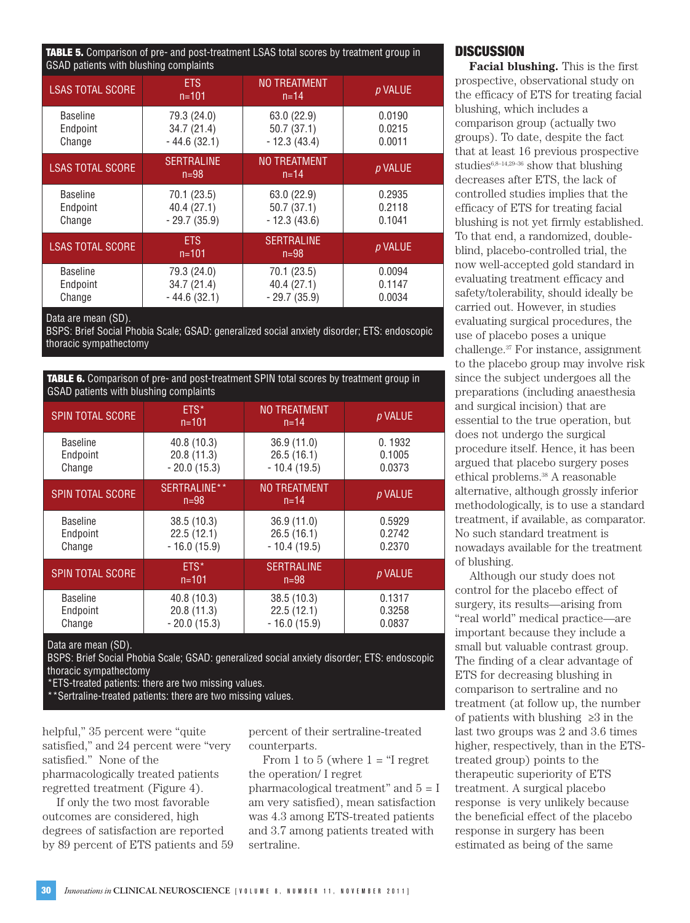**TABLE 5.** Comparison of pre- and post-treatment LSAS total scores by treatment group in GSAD patients with blushing complaints

| <b>LSAS TOTAL SCORE</b> | <b>ETS</b><br>$n = 101$     | <b>NO TREATMENT</b><br>$n = 14$ | p VALUE |
|-------------------------|-----------------------------|---------------------------------|---------|
| <b>Baseline</b>         | 79.3 (24.0)                 | 63.0 (22.9)                     | 0.0190  |
| Endpoint                | 34.7(21.4)                  | 50.7(37.1)                      | 0.0215  |
| Change                  | $-44.6(32.1)$               | $-12.3(43.4)$                   | 0.0011  |
| <b>LSAS TOTAL SCORE</b> | <b>SERTRALINE</b><br>$n=98$ | <b>NO TREATMENT</b><br>$n = 14$ | p VALUE |
| <b>Baseline</b>         | 70.1 (23.5)                 | 63.0 (22.9)                     | 0.2935  |
| Endpoint                | 40.4 (27.1)                 | 50.7(37.1)                      | 0.2118  |
| Change                  | $-29.7(35.9)$               | $-12.3(43.6)$                   | 0.1041  |
| <b>LSAS TOTAL SCORE</b> | <b>ETS</b><br>$n = 101$     | <b>SERTRALINE</b><br>$n = 98$   | p VALUE |
| <b>Baseline</b>         | 79.3 (24.0)                 | 70.1 (23.5)                     | 0.0094  |
| Endpoint                | 34.7 (21.4)                 | 40.4 (27.1)                     | 0.1147  |
| Change                  | $-44.6(32.1)$               | $-29.7(35.9)$                   | 0.0034  |

Data are mean (SD).

BSPS: Brief Social Phobia Scale; GSAD: generalized social anxiety disorder; ETS: endoscopic thoracic sympathectomy

**TABLE 6.** Comparison of pre- and post-treatment SPIN total scores by treatment group in GSAD patients with blushing complaints

| <b>SPIN TOTAL SCORE</b> | ETS*<br>$n = 101$        | <b>NO TREATMENT</b><br>$n = 14$ | p VALUE |
|-------------------------|--------------------------|---------------------------------|---------|
| <b>Baseline</b>         | 40.8 (10.3)              | 36.9 (11.0)                     | 0.1932  |
| Endpoint                | 20.8(11.3)               | 26.5(16.1)                      | 0.1005  |
| Change                  | $-20.0(15.3)$            | $-10.4(19.5)$                   | 0.0373  |
| <b>SPIN TOTAL SCORE</b> | SERTRALINE**<br>$n = 98$ | <b>NO TREATMENT</b><br>$n = 14$ | p VALUE |
| <b>Baseline</b>         | 38.5 (10.3)              | 36.9 (11.0)                     | 0.5929  |
| Endpoint                | 22.5(12.1)               | 26.5(16.1)                      | 0.2742  |
| Change                  | $-16.0(15.9)$            | $-10.4(19.5)$                   | 0.2370  |
| <b>SPIN TOTAL SCORE</b> | $ETS*$<br>$n = 101$      | <b>SERTRALINE</b><br>$n = 98$   | p VALUE |
| <b>Baseline</b>         | 40.8 (10.3)              | 38.5 (10.3)                     | 0.1317  |
| Endpoint                | 20.8 (11.3)              | 22.5(12.1)                      | 0.3258  |
| Change                  | $-20.0(15.3)$            | $-16.0(15.9)$                   | 0.0837  |

Data are mean (SD).

BSPS: Brief Social Phobia Scale; GSAD: generalized social anxiety disorder; ETS: endoscopic thoracic sympathectomy

\*ETS-treated patients: there are two missing values.

\*\*Sertraline-treated patients: there are two missing values.

helpful," 35 percent were "quite satisfied," and 24 percent were "very satisfied." None of the pharmacologically treated patients regretted treatment (Figure 4).

If only the two most favorable outcomes are considered, high degrees of satisfaction are reported by 89 percent of ETS patients and 59 percent of their sertraline-treated counterparts.

From 1 to 5 (where  $1 =$  "I regret the operation/ I regret pharmacological treatment" and 5 = I am very satisfied), mean satisfaction was 4.3 among ETS-treated patients and 3.7 among patients treated with sertraline.

## **DISCUSSION**

**Facial blushing.** This is the first prospective, observational study on the efficacy of ETS for treating facial blushing, which includes a comparison group (actually two groups). To date, despite the fact that at least 16 previous prospective studies $6,8-14,29-36$  show that blushing decreases after ETS, the lack of controlled studies implies that the efficacy of ETS for treating facial blushing is not yet firmly established. To that end, a randomized, doubleblind, placebo-controlled trial, the now well-accepted gold standard in evaluating treatment efficacy and safety/tolerability, should ideally be carried out. However, in studies evaluating surgical procedures, the use of placebo poses a unique challenge.37 For instance, assignment to the placebo group may involve risk since the subject undergoes all the preparations (including anaesthesia and surgical incision) that are essential to the true operation, but does not undergo the surgical procedure itself. Hence, it has been argued that placebo surgery poses ethical problems.38 A reasonable alternative, although grossly inferior methodologically, is to use a standard treatment, if available, as comparator. No such standard treatment is nowadays available for the treatment of blushing.

Although our study does not control for the placebo effect of surgery, its results—arising from "real world" medical practice—are important because they include a small but valuable contrast group. The finding of a clear advantage of ETS for decreasing blushing in comparison to sertraline and no treatment (at follow up, the number of patients with blushing ≥3 in the last two groups was 2 and 3.6 times higher, respectively, than in the ETStreated group) points to the therapeutic superiority of ETS treatment. A surgical placebo response is very unlikely because the beneficial effect of the placebo response in surgery has been estimated as being of the same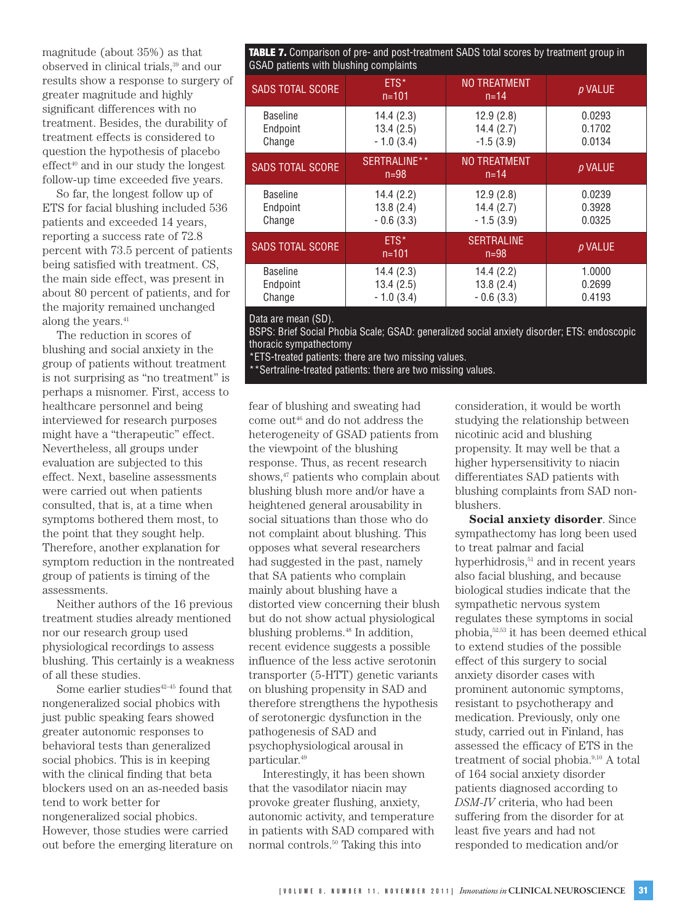magnitude (about 35%) as that observed in clinical trials,39 and our results show a response to surgery of greater magnitude and highly significant differences with no treatment. Besides, the durability of treatment effects is considered to question the hypothesis of placebo  $effect<sup>40</sup>$  and in our study the longest follow-up time exceeded five years.

So far, the longest follow up of ETS for facial blushing included 536 patients and exceeded 14 years, reporting a success rate of 72.8 percent with 73.5 percent of patients being satisfied with treatment. CS, the main side effect, was present in about 80 percent of patients, and for the majority remained unchanged along the years.<sup>41</sup>

The reduction in scores of blushing and social anxiety in the group of patients without treatment is not surprising as "no treatment" is perhaps a misnomer. First, access to healthcare personnel and being interviewed for research purposes might have a "therapeutic" effect. Nevertheless, all groups under evaluation are subjected to this effect. Next, baseline assessments were carried out when patients consulted, that is, at a time when symptoms bothered them most, to the point that they sought help. Therefore, another explanation for symptom reduction in the nontreated group of patients is timing of the assessments.

Neither authors of the 16 previous treatment studies already mentioned nor our research group used physiological recordings to assess blushing. This certainly is a weakness of all these studies.

Some earlier studies $42-45$  found that nongeneralized social phobics with just public speaking fears showed greater autonomic responses to behavioral tests than generalized social phobics. This is in keeping with the clinical finding that beta blockers used on an as-needed basis tend to work better for nongeneralized social phobics. However, those studies were carried out before the emerging literature on

**TABLE 7.** Comparison of pre- and post-treatment SADS total scores by treatment group in GSAD patients with blushing complaints

| patients milli staering complaints    |                                       |                                       |                            |  |  |
|---------------------------------------|---------------------------------------|---------------------------------------|----------------------------|--|--|
| <b>SADS TOTAL SCORE</b>               | $ETS*$<br>$n = 101$                   | <b>NO TREATMENT</b><br>$n = 14$       | p VALUE                    |  |  |
| <b>Baseline</b><br>Endpoint<br>Change | 14.4(2.3)<br>13.4(2.5)<br>$-1.0(3.4)$ | 12.9(2.8)<br>14.4(2.7)<br>$-1.5(3.9)$ | 0.0293<br>0.1702<br>0.0134 |  |  |
| <b>SADS TOTAL SCORE</b>               | SERTRALINE**<br>$n=98$                | <b>NO TREATMENT</b><br>$n = 14$       | p VALUE                    |  |  |
| <b>Baseline</b><br>Endpoint<br>Change | 14.4(2.2)<br>13.8(2.4)<br>$-0.6(3.3)$ | 12.9(2.8)<br>14.4(2.7)<br>$-1.5(3.9)$ | 0.0239<br>0.3928<br>0.0325 |  |  |
| <b>SADS TOTAL SCORE</b>               | FTS*<br>$n = 101$                     | <b>SERTRALINE</b><br>$n = 98$         | p VALUE                    |  |  |
| <b>Baseline</b><br>Endpoint<br>Change | 14.4(2.3)<br>13.4(2.5)<br>$-1.0(3.4)$ | 14.4(2.2)<br>13.8(2.4)<br>$-0.6(3.3)$ | 1.0000<br>0.2699<br>0.4193 |  |  |

Data are mean (SD).

BSPS: Brief Social Phobia Scale; GSAD: generalized social anxiety disorder; ETS: endoscopic thoracic sympathectomy

\*ETS-treated patients: there are two missing values.

\*Sertraline-treated patients: there are two missing values.

fear of blushing and sweating had come out<sup>46</sup> and do not address the heterogeneity of GSAD patients from the viewpoint of the blushing response. Thus, as recent research shows,<sup>47</sup> patients who complain about blushing blush more and/or have a heightened general arousability in social situations than those who do not complaint about blushing. This opposes what several researchers had suggested in the past, namely that SA patients who complain mainly about blushing have a distorted view concerning their blush but do not show actual physiological blushing problems.<sup>48</sup> In addition, recent evidence suggests a possible influence of the less active serotonin transporter (5-HTT) genetic variants on blushing propensity in SAD and therefore strengthens the hypothesis of serotonergic dysfunction in the pathogenesis of SAD and psychophysiological arousal in particular.49

Interestingly, it has been shown that the vasodilator niacin may provoke greater flushing, anxiety, autonomic activity, and temperature in patients with SAD compared with normal controls.50 Taking this into

consideration, it would be worth studying the relationship between nicotinic acid and blushing propensity. It may well be that a higher hypersensitivity to niacin differentiates SAD patients with blushing complaints from SAD nonblushers.

**Social anxiety disorder**. Since sympathectomy has long been used to treat palmar and facial hyperhidrosis,<sup>51</sup> and in recent years also facial blushing, and because biological studies indicate that the sympathetic nervous system regulates these symptoms in social phobia,52,53 it has been deemed ethical to extend studies of the possible effect of this surgery to social anxiety disorder cases with prominent autonomic symptoms, resistant to psychotherapy and medication. Previously, only one study, carried out in Finland, has assessed the efficacy of ETS in the treatment of social phobia.9,10 A total of 164 social anxiety disorder patients diagnosed according to *DSM-IV* criteria, who had been suffering from the disorder for at least five years and had not responded to medication and/or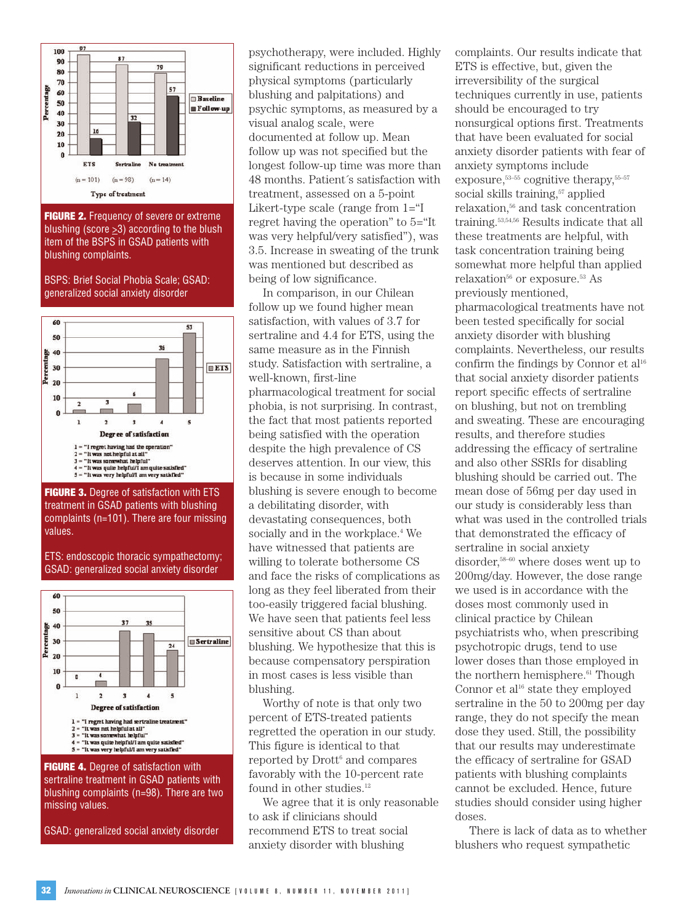

**FIGURE 2.** Frequency of severe or extreme blushing (score  $\geq$ 3) according to the blush item of the BSPS in GSAD patients with blushing complaints.

BSPS: Brief Social Phobia Scale; GSAD: generalized social anxiety disorder



**FIGURE 3.** Degree of satisfaction with ETS treatment in GSAD patients with blushing complaints (n=101). There are four missing values.

ETS: endoscopic thoracic sympathectomy; GSAD: generalized social anxiety disorder



**FIGURE 4.** Degree of satisfaction with sertraline treatment in GSAD patients with blushing complaints (n=98). There are two missing values.

GSAD: generalized social anxiety disorder

psychotherapy, were included. Highly significant reductions in perceived physical symptoms (particularly blushing and palpitations) and psychic symptoms, as measured by a visual analog scale, were documented at follow up. Mean follow up was not specified but the longest follow-up time was more than 48 months. Patient´s satisfaction with treatment, assessed on a 5-point Likert-type scale (range from  $1 = 1$ regret having the operation" to 5="It was very helpful/very satisfied"), was 3.5. Increase in sweating of the trunk was mentioned but described as being of low significance.

In comparison, in our Chilean follow up we found higher mean satisfaction, with values of 3.7 for sertraline and 4.4 for ETS, using the same measure as in the Finnish study. Satisfaction with sertraline, a well-known, first-line pharmacological treatment for social phobia, is not surprising. In contrast, the fact that most patients reported being satisfied with the operation despite the high prevalence of CS deserves attention. In our view, this is because in some individuals blushing is severe enough to become a debilitating disorder, with devastating consequences, both socially and in the workplace.<sup>4</sup> We have witnessed that patients are willing to tolerate bothersome CS and face the risks of complications as long as they feel liberated from their too-easily triggered facial blushing. We have seen that patients feel less sensitive about CS than about blushing. We hypothesize that this is because compensatory perspiration in most cases is less visible than blushing.

Worthy of note is that only two percent of ETS-treated patients regretted the operation in our study. This figure is identical to that reported by Drott<sup>6</sup> and compares favorably with the 10-percent rate found in other studies.<sup>12</sup>

We agree that it is only reasonable to ask if clinicians should recommend ETS to treat social anxiety disorder with blushing

complaints. Our results indicate that ETS is effective, but, given the irreversibility of the surgical techniques currently in use, patients should be encouraged to try nonsurgical options first. Treatments that have been evaluated for social anxiety disorder patients with fear of anxiety symptoms include exposure,<sup>53–55</sup> cognitive therapy,<sup>55–57</sup> social skills training,<sup>57</sup> applied relaxation,56 and task concentration training.53,54,56 Results indicate that all these treatments are helpful, with task concentration training being somewhat more helpful than applied relaxation<sup>56</sup> or exposure.<sup>53</sup> As previously mentioned, pharmacological treatments have not been tested specifically for social anxiety disorder with blushing complaints. Nevertheless, our results confirm the findings by Connor et  $al<sup>16</sup>$ that social anxiety disorder patients report specific effects of sertraline on blushing, but not on trembling and sweating. These are encouraging results, and therefore studies addressing the efficacy of sertraline and also other SSRIs for disabling blushing should be carried out. The mean dose of 56mg per day used in our study is considerably less than what was used in the controlled trials that demonstrated the efficacy of sertraline in social anxiety disorder,<sup>58–60</sup> where doses went up to 200mg/day. However, the dose range we used is in accordance with the doses most commonly used in clinical practice by Chilean psychiatrists who, when prescribing psychotropic drugs, tend to use lower doses than those employed in the northern hemisphere.<sup>61</sup> Though Connor et al<sup>16</sup> state they employed sertraline in the 50 to 200mg per day range, they do not specify the mean dose they used. Still, the possibility that our results may underestimate the efficacy of sertraline for GSAD patients with blushing complaints cannot be excluded. Hence, future studies should consider using higher doses.

There is lack of data as to whether blushers who request sympathetic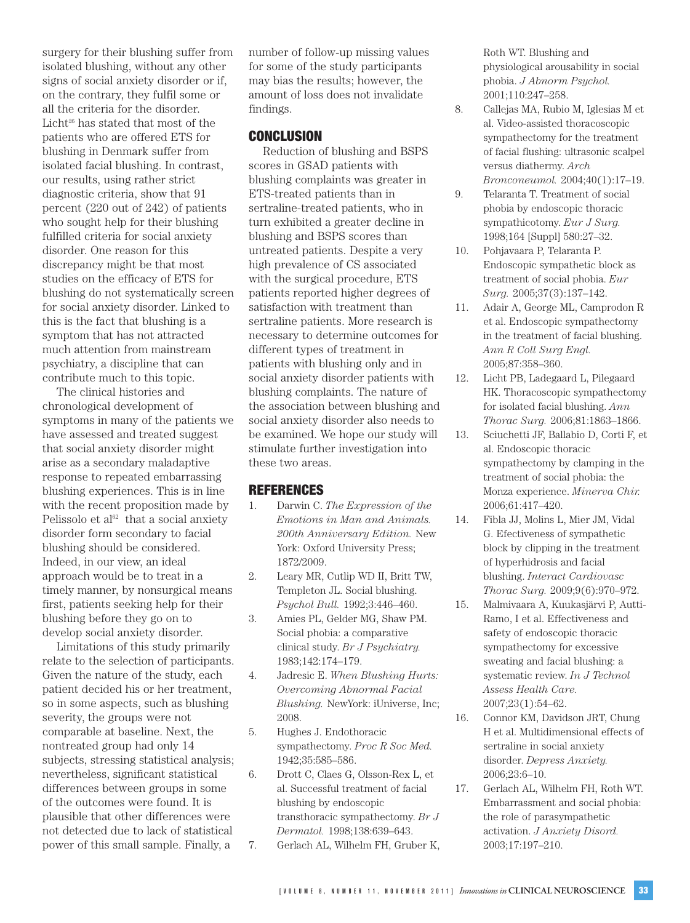surgery for their blushing suffer from isolated blushing, without any other signs of social anxiety disorder or if, on the contrary, they fulfil some or all the criteria for the disorder. Licht $26$  has stated that most of the patients who are offered ETS for blushing in Denmark suffer from isolated facial blushing. In contrast, our results, using rather strict diagnostic criteria, show that 91 percent (220 out of 242) of patients who sought help for their blushing fulfilled criteria for social anxiety disorder. One reason for this discrepancy might be that most studies on the efficacy of ETS for blushing do not systematically screen for social anxiety disorder. Linked to this is the fact that blushing is a symptom that has not attracted much attention from mainstream psychiatry, a discipline that can contribute much to this topic.

The clinical histories and chronological development of symptoms in many of the patients we have assessed and treated suggest that social anxiety disorder might arise as a secondary maladaptive response to repeated embarrassing blushing experiences. This is in line with the recent proposition made by Pelissolo et al $62$  that a social anxiety disorder form secondary to facial blushing should be considered. Indeed, in our view, an ideal approach would be to treat in a timely manner, by nonsurgical means first, patients seeking help for their blushing before they go on to develop social anxiety disorder.

Limitations of this study primarily relate to the selection of participants. Given the nature of the study, each patient decided his or her treatment, so in some aspects, such as blushing severity, the groups were not comparable at baseline. Next, the nontreated group had only 14 subjects, stressing statistical analysis; nevertheless, significant statistical differences between groups in some of the outcomes were found. It is plausible that other differences were not detected due to lack of statistical power of this small sample. Finally, a

number of follow-up missing values for some of the study participants may bias the results; however, the amount of loss does not invalidate findings.

# **CONCLUSION**

Reduction of blushing and BSPS scores in GSAD patients with blushing complaints was greater in ETS-treated patients than in sertraline-treated patients, who in turn exhibited a greater decline in blushing and BSPS scores than untreated patients. Despite a very high prevalence of CS associated with the surgical procedure, ETS patients reported higher degrees of satisfaction with treatment than sertraline patients. More research is necessary to determine outcomes for different types of treatment in patients with blushing only and in social anxiety disorder patients with blushing complaints. The nature of the association between blushing and social anxiety disorder also needs to be examined. We hope our study will stimulate further investigation into these two areas.

## **REFERENCES**

- 1. Darwin C. *The Expression of the Emotions in Man and Animals. 200th Anniversary Edition.* New York: Oxford University Press; 1872/2009.
- 2. Leary MR, Cutlip WD II, Britt TW, Templeton JL. Social blushing. *Psychol Bull.* 1992;3:446–460.
- 3. Amies PL, Gelder MG, Shaw PM. Social phobia: a comparative clinical study. *Br J Psychiatry.* 1983;142:174–179.
- 4. Jadresic E. *When Blushing Hurts: Overcoming Abnormal Facial Blushing.* NewYork: iUniverse, Inc; 2008.
- 5. Hughes J. Endothoracic sympathectomy. *Proc R Soc Med.* 1942;35:585–586.
- 6. Drott C, Claes G, Olsson-Rex L, et al. Successful treatment of facial blushing by endoscopic transthoracic sympathectomy. *Br J Dermatol.* 1998;138:639–643.
- 7. Gerlach AL, Wilhelm FH, Gruber K,

Roth WT. Blushing and physiological arousability in social phobia. *J Abnorm Psychol.* 2001;110:247–258.

- 8. Callejas MA, Rubio M, Iglesias M et al. Video-assisted thoracoscopic sympathectomy for the treatment of facial flushing: ultrasonic scalpel versus diathermy. *Arch Bronconeumol.* 2004;40(1):17–19.
- 9. Telaranta T. Treatment of social phobia by endoscopic thoracic sympathicotomy. *Eur J Surg.* 1998;164 [Suppl] 580:27–32.
- 10. Pohjavaara P, Telaranta P. Endoscopic sympathetic block as treatment of social phobia. *Eur Surg.* 2005;37(3):137–142.
- 11. Adair A, George ML, Camprodon R et al. Endoscopic sympathectomy in the treatment of facial blushing. *Ann R Coll Surg Engl.* 2005;87:358–360.
- 12. Licht PB, Ladegaard L, Pilegaard HK. Thoracoscopic sympathectomy for isolated facial blushing. *Ann Thorac Surg.* 2006;81:1863–1866.
- 13. Sciuchetti JF, Ballabio D, Corti F, et al. Endoscopic thoracic sympathectomy by clamping in the treatment of social phobia: the Monza experience. *Minerva Chir.* 2006;61:417–420.
- 14. Fibla JJ, Molins L, Mier JM, Vidal G. Efectiveness of sympathetic block by clipping in the treatment of hyperhidrosis and facial blushing. *Interact Cardiovasc Thorac Surg.* 2009;9(6):970–972.
- 15. Malmivaara A, Kuukasjärvi P, Autti-Ramo, I et al. Effectiveness and safety of endoscopic thoracic sympathectomy for excessive sweating and facial blushing: a systematic review. *In J Technol Assess Health Care.* 2007;23(1):54–62.
- 16. Connor KM, Davidson JRT, Chung H et al. Multidimensional effects of sertraline in social anxiety disorder. *Depress Anxiety.* 2006;23:6–10.
- 17. Gerlach AL, Wilhelm FH, Roth WT. Embarrassment and social phobia: the role of parasympathetic activation. *J Anxiety Disord.* 2003;17:197–210.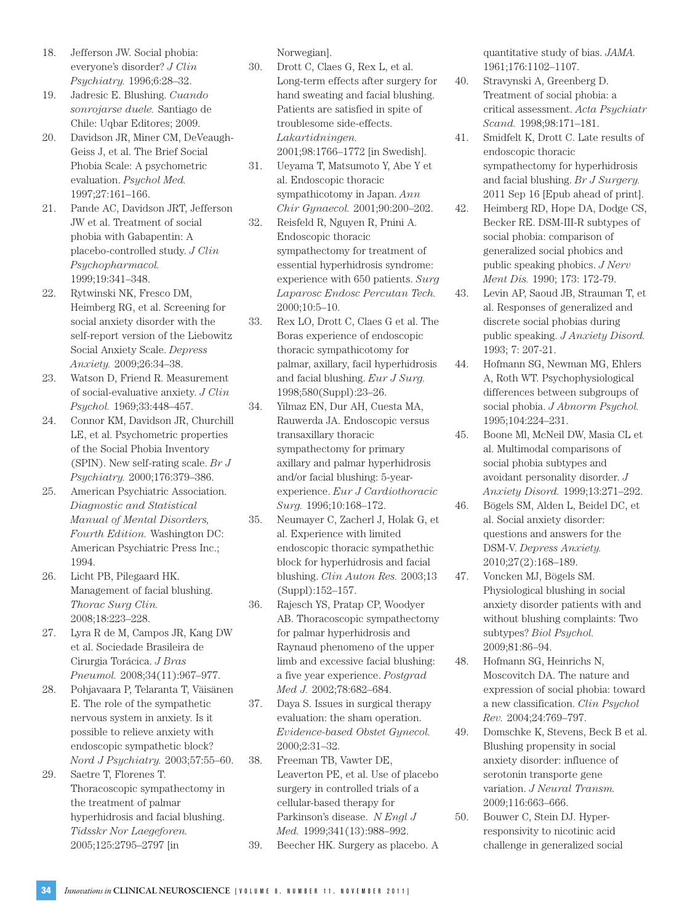- 18. Jefferson JW. Social phobia: everyone's disorder? *J Clin Psychiatry.* 1996;6:28–32.
- 19. Jadresic E. Blushing. *Cuando sonrojarse duele.* Santiago de Chile: Uqbar Editores; 2009.
- 20. Davidson JR, Miner CM, DeVeaugh-Geiss J, et al. The Brief Social Phobia Scale: A psychometric evaluation. *Psychol Med.* 1997;27:161–166.
- 21. Pande AC, Davidson JRT, Jefferson JW et al. Treatment of social phobia with Gabapentin: A placebo-controlled study. *J Clin Psychopharmacol.* 1999;19:341–348.
- 22. Rytwinski NK, Fresco DM, Heimberg RG, et al. Screening for social anxiety disorder with the self-report version of the Liebowitz Social Anxiety Scale. *Depress Anxiety.* 2009;26:34–38.
- 23. Watson D, Friend R. Measurement of social-evaluative anxiety. *J Clin Psychol.* 1969;33:448–457.
- 24. Connor KM, Davidson JR, Churchill LE, et al. Psychometric properties of the Social Phobia Inventory (SPIN). New self-rating scale. *Br J Psychiatry.* 2000;176:379–386.
- 25. American Psychiatric Association. *Diagnostic and Statistical Manual of Mental Disorders, Fourth Edition.* Washington DC: American Psychiatric Press Inc.; 1994.
- 26. Licht PB, Pilegaard HK. Management of facial blushing. *Thorac Surg Clin.* 2008;18:223–228.
- 27. Lyra R de M, Campos JR, Kang DW et al. Sociedade Brasileira de Cirurgia Torácica. *J Bras Pneumol.* 2008;34(11):967–977.
- 28. Pohjavaara P, Telaranta T, Väisänen E. The role of the sympathetic nervous system in anxiety. Is it possible to relieve anxiety with endoscopic sympathetic block? *Nord J Psychiatry.* 2003;57:55–60.
- 29. Saetre T, Florenes T. Thoracoscopic sympathectomy in the treatment of palmar hyperhidrosis and facial blushing. *Tidsskr Nor Laegeforen.* 2005;125:2795–2797 [in

Norwegian].

- 30. Drott C, Claes G, Rex L, et al. Long-term effects after surgery for hand sweating and facial blushing. Patients are satisfied in spite of troublesome side-effects. *Lakartidningen.* 2001;98:1766–1772 [in Swedish].
- 31. Ueyama T, Matsumoto Y, Abe Y et al. Endoscopic thoracic sympathicotomy in Japan. *Ann Chir Gynaecol.* 2001;90:200–202.
- 32. Reisfeld R, Nguyen R, Pnini A. Endoscopic thoracic sympathectomy for treatment of essential hyperhidrosis syndrome: experience with 650 patients. *Surg Laparosc Endosc Percutan Tech.* 2000;10:5–10.
- 33. Rex LO, Drott C, Claes G et al. The Boras experience of endoscopic thoracic sympathicotomy for palmar, axillary, facil hyperhidrosis and facial blushing. *Eur J Surg.* 1998;580(Suppl):23–26.
- 34. Yilmaz EN, Dur AH, Cuesta MA, Rauwerda JA. Endoscopic versus transaxillary thoracic sympathectomy for primary axillary and palmar hyperhidrosis and/or facial blushing: 5-yearexperience. *Eur J Cardiothoracic Surg.* 1996;10:168–172.
- 35. Neumayer C, Zacherl J, Holak G, et al. Experience with limited endoscopic thoracic sympathethic block for hyperhidrosis and facial blushing. *Clin Auton Res.* 2003;13 (Suppl):152–157.
- 36. Rajesch YS, Pratap CP, Woodyer AB. Thoracoscopic sympathectomy for palmar hyperhidrosis and Raynaud phenomeno of the upper limb and excessive facial blushing: a five year experience. *Postgrad Med J.* 2002;78:682–684.
- 37. Daya S. Issues in surgical therapy evaluation: the sham operation. *Evidence-based Obstet Gynecol.* 2000;2:31–32.
- 38. Freeman TB, Vawter DE, Leaverton PE, et al. Use of placebo surgery in controlled trials of a cellular-based therapy for Parkinson's disease. *N Engl J Med.* 1999;341(13):988–992.
- 39. Beecher HK. Surgery as placebo. A

quantitative study of bias. *JAMA.* 1961;176:1102–1107.

- 40. Stravynski A, Greenberg D. Treatment of social phobia: a critical assessment. *Acta Psychiatr Scand.* 1998;98:171–181.
- 41. Smidfelt K, Drott C. Late results of endoscopic thoracic sympathectomy for hyperhidrosis and facial blushing. *Br J Surgery.* 2011 Sep 16 [Epub ahead of print].
- 42. Heimberg RD, Hope DA, Dodge CS, Becker RE. DSM-III-R subtypes of social phobia: comparison of generalized social phobics and public speaking phobics. *J Nerv Ment Dis.* 1990; 173: 172-79.
- 43. Levin AP, Saoud JB, Strauman T, et al. Responses of generalized and discrete social phobias during public speaking. *J Anxiety Disord.* 1993; 7: 207-21.
- 44. Hofmann SG, Newman MG, Ehlers A, Roth WT. Psychophysiological differences between subgroups of social phobia. *J Abnorm Psychol.* 1995;104:224–231.
- 45. Boone Ml, McNeil DW, Masia CL et al. Multimodal comparisons of social phobia subtypes and avoidant personality disorder. *J Anxiety Disord.* 1999;13:271–292.
- 46. Bögels SM, Alden L, Beidel DC, et al. Social anxiety disorder: questions and answers for the DSM-V. *Depress Anxiety.* 2010;27(2):168–189.
- 47. Voncken MJ, Bögels SM. Physiological blushing in social anxiety disorder patients with and without blushing complaints: Two subtypes? *Biol Psychol.* 2009;81:86–94.
- 48. Hofmann SG, Heinrichs N, Moscovitch DA. The nature and expression of social phobia: toward a new classification. *Clin Psychol Rev.* 2004;24:769–797.
- 49. Domschke K, Stevens, Beck B et al. Blushing propensity in social anxiety disorder: influence of serotonin transporte gene variation. *J Neural Transm.* 2009;116:663–666.
- 50. Bouwer C, Stein DJ. Hyperresponsivity to nicotinic acid challenge in generalized social